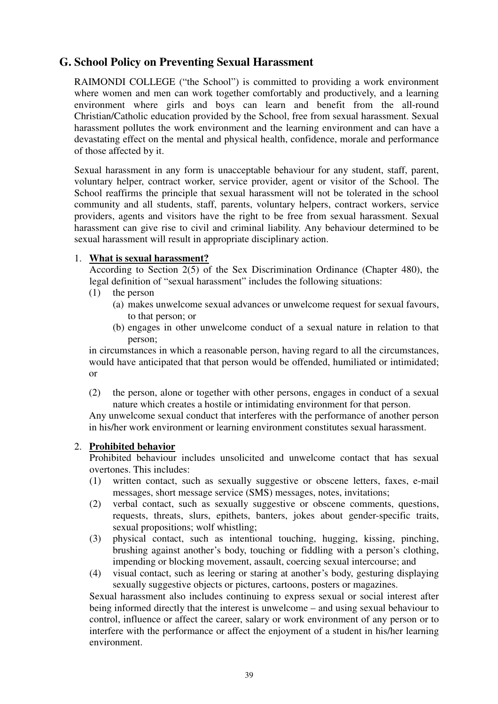# **G. School Policy on Preventing Sexual Harassment**

RAIMONDI COLLEGE ("the School") is committed to providing a work environment where women and men can work together comfortably and productively, and a learning environment where girls and boys can learn and benefit from the all-round Christian/Catholic education provided by the School, free from sexual harassment. Sexual harassment pollutes the work environment and the learning environment and can have a devastating effect on the mental and physical health, confidence, morale and performance of those affected by it.

Sexual harassment in any form is unacceptable behaviour for any student, staff, parent, voluntary helper, contract worker, service provider, agent or visitor of the School. The School reaffirms the principle that sexual harassment will not be tolerated in the school community and all students, staff, parents, voluntary helpers, contract workers, service providers, agents and visitors have the right to be free from sexual harassment. Sexual harassment can give rise to civil and criminal liability. Any behaviour determined to be sexual harassment will result in appropriate disciplinary action.

#### 1. **What is sexual harassment?**

According to Section 2(5) of the Sex Discrimination Ordinance (Chapter 480), the legal definition of "sexual harassment" includes the following situations:

- (1) the person
	- (a) makes unwelcome sexual advances or unwelcome request for sexual favours, to that person; or
	- (b) engages in other unwelcome conduct of a sexual nature in relation to that person;

in circumstances in which a reasonable person, having regard to all the circumstances, would have anticipated that that person would be offended, humiliated or intimidated; or

(2) the person, alone or together with other persons, engages in conduct of a sexual nature which creates a hostile or intimidating environment for that person.

Any unwelcome sexual conduct that interferes with the performance of another person in his/her work environment or learning environment constitutes sexual harassment.

#### 2. **Prohibited behavior**

Prohibited behaviour includes unsolicited and unwelcome contact that has sexual overtones. This includes:

- (1) written contact, such as sexually suggestive or obscene letters, faxes, e-mail messages, short message service (SMS) messages, notes, invitations;
- (2) verbal contact, such as sexually suggestive or obscene comments, questions, requests, threats, slurs, epithets, banters, jokes about gender-specific traits, sexual propositions; wolf whistling;
- (3) physical contact, such as intentional touching, hugging, kissing, pinching, brushing against another's body, touching or fiddling with a person's clothing, impending or blocking movement, assault, coercing sexual intercourse; and
- (4) visual contact, such as leering or staring at another's body, gesturing displaying sexually suggestive objects or pictures, cartoons, posters or magazines.

Sexual harassment also includes continuing to express sexual or social interest after being informed directly that the interest is unwelcome – and using sexual behaviour to control, influence or affect the career, salary or work environment of any person or to interfere with the performance or affect the enjoyment of a student in his/her learning environment.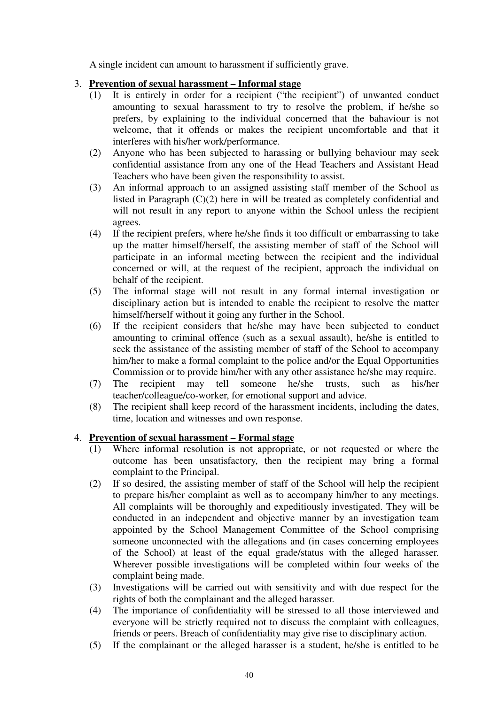A single incident can amount to harassment if sufficiently grave.

#### 3. **Prevention of sexual harassment – Informal stage**

- (1) It is entirely in order for a recipient ("the recipient") of unwanted conduct amounting to sexual harassment to try to resolve the problem, if he/she so prefers, by explaining to the individual concerned that the bahaviour is not welcome, that it offends or makes the recipient uncomfortable and that it interferes with his/her work/performance.
- (2) Anyone who has been subjected to harassing or bullying behaviour may seek confidential assistance from any one of the Head Teachers and Assistant Head Teachers who have been given the responsibility to assist.
- (3) An informal approach to an assigned assisting staff member of the School as listed in Paragraph (C)(2) here in will be treated as completely confidential and will not result in any report to anyone within the School unless the recipient agrees.
- (4) If the recipient prefers, where he/she finds it too difficult or embarrassing to take up the matter himself/herself, the assisting member of staff of the School will participate in an informal meeting between the recipient and the individual concerned or will, at the request of the recipient, approach the individual on behalf of the recipient.
- (5) The informal stage will not result in any formal internal investigation or disciplinary action but is intended to enable the recipient to resolve the matter himself/herself without it going any further in the School.
- (6) If the recipient considers that he/she may have been subjected to conduct amounting to criminal offence (such as a sexual assault), he/she is entitled to seek the assistance of the assisting member of staff of the School to accompany him/her to make a formal complaint to the police and/or the Equal Opportunities Commission or to provide him/her with any other assistance he/she may require.
- (7) The recipient may tell someone he/she trusts, such as his/her teacher/colleague/co-worker, for emotional support and advice.
- (8) The recipient shall keep record of the harassment incidents, including the dates, time, location and witnesses and own response.

### 4. **Prevention of sexual harassment – Formal stage**

- $\overline{(1)}$  Where informal resolution is not appropriate, or not requested or where the outcome has been unsatisfactory, then the recipient may bring a formal complaint to the Principal.
- (2) If so desired, the assisting member of staff of the School will help the recipient to prepare his/her complaint as well as to accompany him/her to any meetings. All complaints will be thoroughly and expeditiously investigated. They will be conducted in an independent and objective manner by an investigation team appointed by the School Management Committee of the School comprising someone unconnected with the allegations and (in cases concerning employees of the School) at least of the equal grade/status with the alleged harasser. Wherever possible investigations will be completed within four weeks of the complaint being made.
- (3) Investigations will be carried out with sensitivity and with due respect for the rights of both the complainant and the alleged harasser.
- (4) The importance of confidentiality will be stressed to all those interviewed and everyone will be strictly required not to discuss the complaint with colleagues, friends or peers. Breach of confidentiality may give rise to disciplinary action.
- (5) If the complainant or the alleged harasser is a student, he/she is entitled to be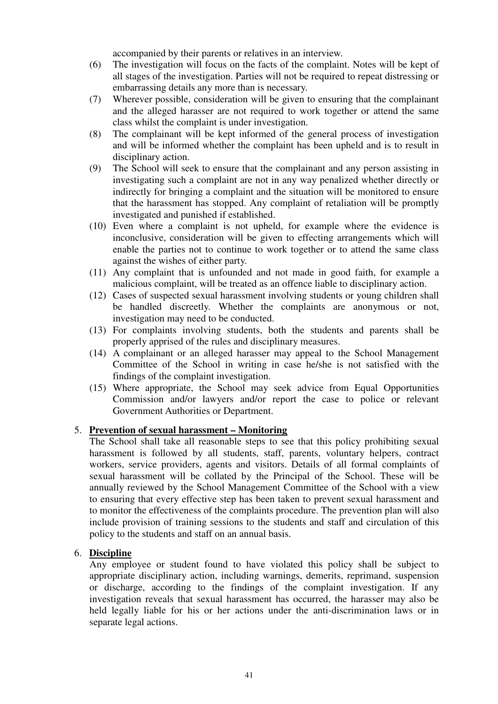accompanied by their parents or relatives in an interview.

- (6) The investigation will focus on the facts of the complaint. Notes will be kept of all stages of the investigation. Parties will not be required to repeat distressing or embarrassing details any more than is necessary.
- (7) Wherever possible, consideration will be given to ensuring that the complainant and the alleged harasser are not required to work together or attend the same class whilst the complaint is under investigation.
- (8) The complainant will be kept informed of the general process of investigation and will be informed whether the complaint has been upheld and is to result in disciplinary action.
- (9) The School will seek to ensure that the complainant and any person assisting in investigating such a complaint are not in any way penalized whether directly or indirectly for bringing a complaint and the situation will be monitored to ensure that the harassment has stopped. Any complaint of retaliation will be promptly investigated and punished if established.
- (10) Even where a complaint is not upheld, for example where the evidence is inconclusive, consideration will be given to effecting arrangements which will enable the parties not to continue to work together or to attend the same class against the wishes of either party.
- (11) Any complaint that is unfounded and not made in good faith, for example a malicious complaint, will be treated as an offence liable to disciplinary action.
- (12) Cases of suspected sexual harassment involving students or young children shall be handled discreetly. Whether the complaints are anonymous or not, investigation may need to be conducted.
- (13) For complaints involving students, both the students and parents shall be properly apprised of the rules and disciplinary measures.
- (14) A complainant or an alleged harasser may appeal to the School Management Committee of the School in writing in case he/she is not satisfied with the findings of the complaint investigation.
- (15) Where appropriate, the School may seek advice from Equal Opportunities Commission and/or lawyers and/or report the case to police or relevant Government Authorities or Department.

#### 5. **Prevention of sexual harassment – Monitoring**

The School shall take all reasonable steps to see that this policy prohibiting sexual harassment is followed by all students, staff, parents, voluntary helpers, contract workers, service providers, agents and visitors. Details of all formal complaints of sexual harassment will be collated by the Principal of the School. These will be annually reviewed by the School Management Committee of the School with a view to ensuring that every effective step has been taken to prevent sexual harassment and to monitor the effectiveness of the complaints procedure. The prevention plan will also include provision of training sessions to the students and staff and circulation of this policy to the students and staff on an annual basis.

### 6. **Discipline**

Any employee or student found to have violated this policy shall be subject to appropriate disciplinary action, including warnings, demerits, reprimand, suspension or discharge, according to the findings of the complaint investigation. If any investigation reveals that sexual harassment has occurred, the harasser may also be held legally liable for his or her actions under the anti-discrimination laws or in separate legal actions.